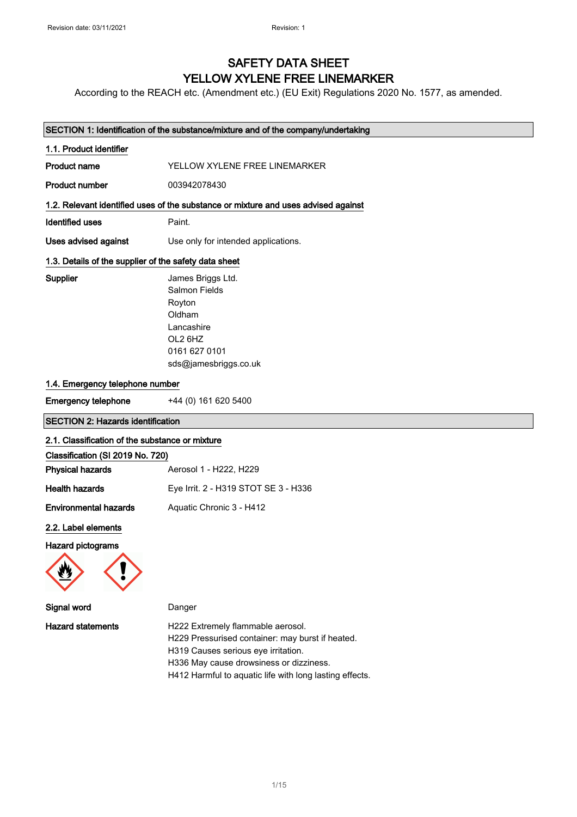## SAFETY DATA SHEET YELLOW XYLENE FREE LINEMARKER

According to the REACH etc. (Amendment etc.) (EU Exit) Regulations 2020 No. 1577, as amended.

| SECTION 1: Identification of the substance/mixture and of the company/undertaking |                                                                                                                                                                                                                                    |  |
|-----------------------------------------------------------------------------------|------------------------------------------------------------------------------------------------------------------------------------------------------------------------------------------------------------------------------------|--|
| 1.1. Product identifier                                                           |                                                                                                                                                                                                                                    |  |
| <b>Product name</b>                                                               | YELLOW XYLENE FREE LINEMARKER                                                                                                                                                                                                      |  |
| <b>Product number</b>                                                             | 003942078430                                                                                                                                                                                                                       |  |
|                                                                                   | 1.2. Relevant identified uses of the substance or mixture and uses advised against                                                                                                                                                 |  |
| <b>Identified uses</b>                                                            | Paint.                                                                                                                                                                                                                             |  |
| Uses advised against                                                              | Use only for intended applications.                                                                                                                                                                                                |  |
| 1.3. Details of the supplier of the safety data sheet                             |                                                                                                                                                                                                                                    |  |
| Supplier                                                                          | James Briggs Ltd.<br>Salmon Fields<br>Royton<br>Oldham<br>Lancashire<br>OL2 6HZ<br>0161 627 0101<br>sds@jamesbriggs.co.uk                                                                                                          |  |
| 1.4. Emergency telephone number                                                   |                                                                                                                                                                                                                                    |  |
| <b>Emergency telephone</b>                                                        | +44 (0) 161 620 5400                                                                                                                                                                                                               |  |
| <b>SECTION 2: Hazards identification</b>                                          |                                                                                                                                                                                                                                    |  |
| 2.1. Classification of the substance or mixture                                   |                                                                                                                                                                                                                                    |  |
| Classification (SI 2019 No. 720)                                                  |                                                                                                                                                                                                                                    |  |
| <b>Physical hazards</b>                                                           | Aerosol 1 - H222, H229                                                                                                                                                                                                             |  |
| <b>Health hazards</b>                                                             | Eye Irrit. 2 - H319 STOT SE 3 - H336                                                                                                                                                                                               |  |
| <b>Environmental hazards</b>                                                      | Aquatic Chronic 3 - H412                                                                                                                                                                                                           |  |
| 2.2. Label elements                                                               |                                                                                                                                                                                                                                    |  |
| Hazard pictograms                                                                 |                                                                                                                                                                                                                                    |  |
| Signal word                                                                       | Danger                                                                                                                                                                                                                             |  |
| <b>Hazard statements</b>                                                          | H222 Extremely flammable aerosol.<br>H229 Pressurised container: may burst if heated.<br>H319 Causes serious eye irritation.<br>H336 May cause drowsiness or dizziness.<br>H412 Harmful to aquatic life with long lasting effects. |  |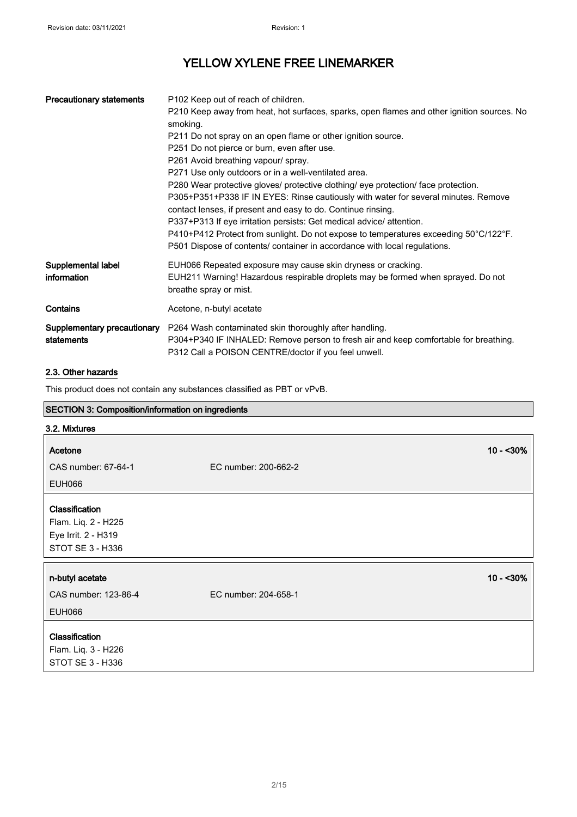| <b>Precautionary statements</b>           | P102 Keep out of reach of children.<br>P210 Keep away from heat, hot surfaces, sparks, open flames and other ignition sources. No<br>smoking.                                                                                                                                                                                                                                                                                                                                         |
|-------------------------------------------|---------------------------------------------------------------------------------------------------------------------------------------------------------------------------------------------------------------------------------------------------------------------------------------------------------------------------------------------------------------------------------------------------------------------------------------------------------------------------------------|
|                                           | P211 Do not spray on an open flame or other ignition source.<br>P251 Do not pierce or burn, even after use.<br>P261 Avoid breathing vapour/ spray.<br>P271 Use only outdoors or in a well-ventilated area.                                                                                                                                                                                                                                                                            |
|                                           | P280 Wear protective gloves/ protective clothing/ eye protection/ face protection.<br>P305+P351+P338 IF IN EYES: Rinse cautiously with water for several minutes. Remove<br>contact lenses, if present and easy to do. Continue rinsing.<br>P337+P313 If eye irritation persists: Get medical advice/ attention.<br>P410+P412 Protect from sunlight. Do not expose to temperatures exceeding 50°C/122°F.<br>P501 Dispose of contents/ container in accordance with local regulations. |
| Supplemental label<br>information         | EUH066 Repeated exposure may cause skin dryness or cracking.<br>EUH211 Warning! Hazardous respirable droplets may be formed when sprayed. Do not<br>breathe spray or mist.                                                                                                                                                                                                                                                                                                            |
| Contains                                  | Acetone, n-butyl acetate                                                                                                                                                                                                                                                                                                                                                                                                                                                              |
| Supplementary precautionary<br>statements | P264 Wash contaminated skin thoroughly after handling.<br>P304+P340 IF INHALED: Remove person to fresh air and keep comfortable for breathing.<br>P312 Call a POISON CENTRE/doctor if you feel unwell.                                                                                                                                                                                                                                                                                |

### 2.3. Other hazards

This product does not contain any substances classified as PBT or vPvB.

### SECTION 3: Composition/information on ingredients

| 3.2. Mixtures                                                                           |                      |  |
|-----------------------------------------------------------------------------------------|----------------------|--|
| Acetone                                                                                 | $10 - 30\%$          |  |
| CAS number: 67-64-1                                                                     | EC number: 200-662-2 |  |
| <b>EUH066</b>                                                                           |                      |  |
| <b>Classification</b><br>Flam. Liq. 2 - H225<br>Eye Irrit. 2 - H319<br>STOT SE 3 - H336 |                      |  |
| n-butyl acetate                                                                         | $10 - 30\%$          |  |
| CAS number: 123-86-4                                                                    | EC number: 204-658-1 |  |
| <b>EUH066</b>                                                                           |                      |  |
| Classification<br>Flam. Liq. 3 - H226<br>STOT SE 3 - H336                               |                      |  |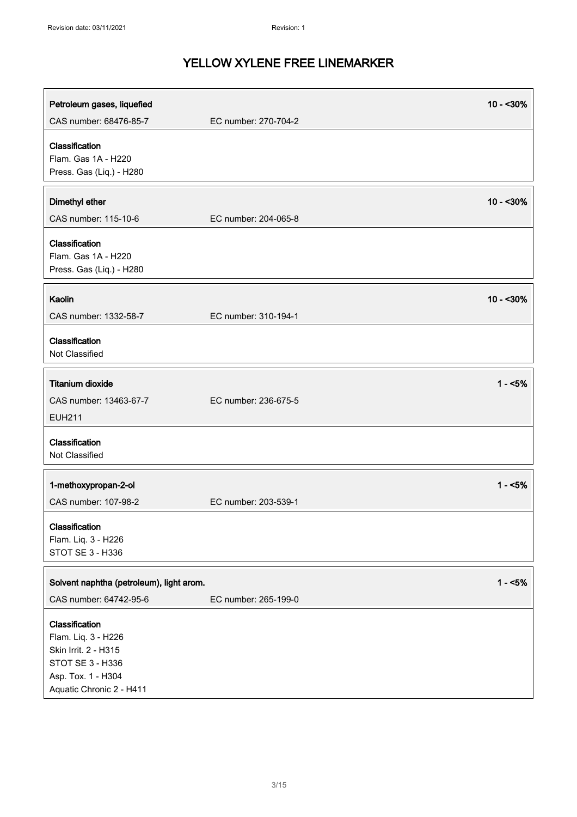| Petroleum gases, liquefied                                                                                                          |                      | $10 - 30%$  |
|-------------------------------------------------------------------------------------------------------------------------------------|----------------------|-------------|
| CAS number: 68476-85-7                                                                                                              | EC number: 270-704-2 |             |
| Classification<br>Flam. Gas 1A - H220<br>Press. Gas (Liq.) - H280                                                                   |                      |             |
| Dimethyl ether<br>CAS number: 115-10-6                                                                                              | EC number: 204-065-8 | $10 - 30\%$ |
| Classification<br>Flam. Gas 1A - H220<br>Press. Gas (Liq.) - H280                                                                   |                      |             |
| Kaolin<br>CAS number: 1332-58-7                                                                                                     | EC number: 310-194-1 | $10 - 30%$  |
| Classification<br>Not Classified                                                                                                    |                      |             |
| <b>Titanium dioxide</b><br>CAS number: 13463-67-7<br><b>EUH211</b>                                                                  | EC number: 236-675-5 | $1 - 5%$    |
| Classification<br>Not Classified                                                                                                    |                      |             |
| 1-methoxypropan-2-ol<br>CAS number: 107-98-2                                                                                        | EC number: 203-539-1 | $1 - 5%$    |
| Classification<br>Flam. Liq. 3 - H226<br>STOT SE 3 - H336                                                                           |                      |             |
| Solvent naphtha (petroleum), light arom.<br>CAS number: 64742-95-6                                                                  | EC number: 265-199-0 | $1 - 5%$    |
| Classification<br>Flam. Liq. 3 - H226<br>Skin Irrit. 2 - H315<br>STOT SE 3 - H336<br>Asp. Tox. 1 - H304<br>Aquatic Chronic 2 - H411 |                      |             |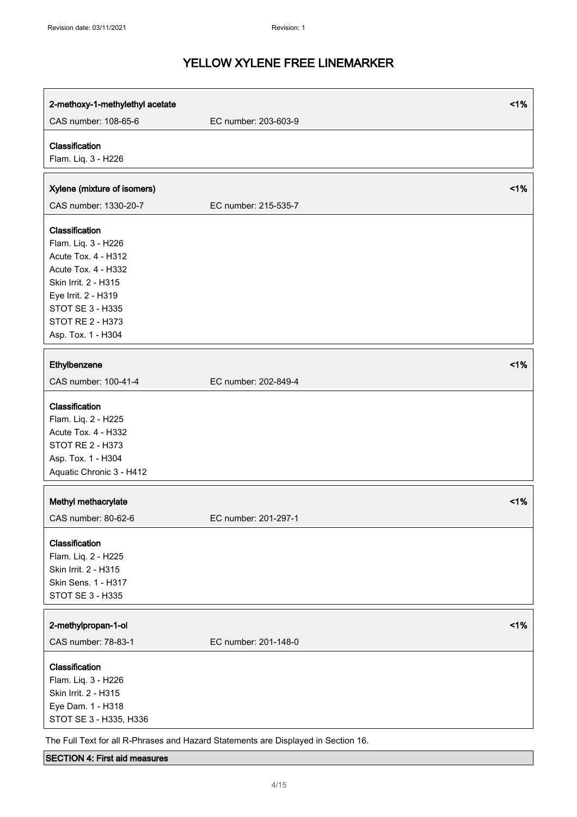| 2-methoxy-1-methylethyl acetate                                                                                                                                                                         |                      | 1%     |
|---------------------------------------------------------------------------------------------------------------------------------------------------------------------------------------------------------|----------------------|--------|
| CAS number: 108-65-6                                                                                                                                                                                    | EC number: 203-603-9 |        |
| Classification<br>Flam. Liq. 3 - H226                                                                                                                                                                   |                      |        |
| Xylene (mixture of isomers)<br>CAS number: 1330-20-7                                                                                                                                                    | EC number: 215-535-7 | $<$ 1% |
| Classification<br>Flam. Liq. 3 - H226<br>Acute Tox. 4 - H312<br>Acute Tox. 4 - H332<br>Skin Irrit. 2 - H315<br>Eye Irrit. 2 - H319<br>STOT SE 3 - H335<br><b>STOT RE 2 - H373</b><br>Asp. Tox. 1 - H304 |                      |        |
| Ethylbenzene<br>CAS number: 100-41-4                                                                                                                                                                    | EC number: 202-849-4 | 1%     |
| Classification<br>Flam. Liq. 2 - H225<br>Acute Tox. 4 - H332<br>STOT RE 2 - H373<br>Asp. Tox. 1 - H304<br>Aquatic Chronic 3 - H412                                                                      |                      |        |
| Methyl methacrylate<br>CAS number: 80-62-6                                                                                                                                                              | EC number: 201-297-1 | 1%     |
| Classification<br>Flam. Liq. 2 - H225<br>Skin Irrit. 2 - H315<br>Skin Sens. 1 - H317<br>STOT SE 3 - H335                                                                                                |                      |        |
| 2-methylpropan-1-ol<br>CAS number: 78-83-1                                                                                                                                                              | EC number: 201-148-0 | 1%     |
| Classification<br>Flam. Liq. 3 - H226<br>Skin Irrit. 2 - H315<br>Eye Dam. 1 - H318<br>STOT SE 3 - H335, H336                                                                                            |                      |        |

The Full Text for all R-Phrases and Hazard Statements are Displayed in Section 16.

#### SECTION 4: First aid measures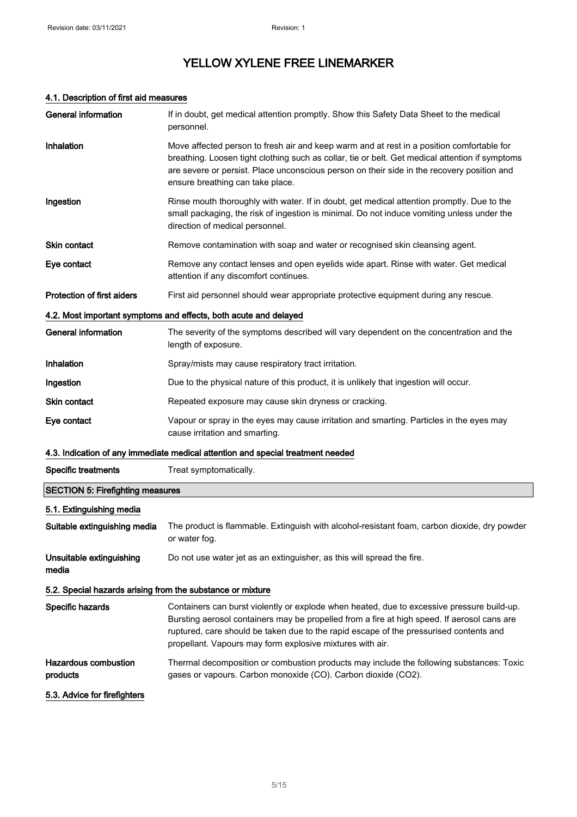### 4.1. Description of first aid measures

| General information                                        | If in doubt, get medical attention promptly. Show this Safety Data Sheet to the medical<br>personnel.                                                                                                                                                                                                                                            |
|------------------------------------------------------------|--------------------------------------------------------------------------------------------------------------------------------------------------------------------------------------------------------------------------------------------------------------------------------------------------------------------------------------------------|
| Inhalation                                                 | Move affected person to fresh air and keep warm and at rest in a position comfortable for<br>breathing. Loosen tight clothing such as collar, tie or belt. Get medical attention if symptoms<br>are severe or persist. Place unconscious person on their side in the recovery position and<br>ensure breathing can take place.                   |
| Ingestion                                                  | Rinse mouth thoroughly with water. If in doubt, get medical attention promptly. Due to the<br>small packaging, the risk of ingestion is minimal. Do not induce vomiting unless under the<br>direction of medical personnel.                                                                                                                      |
| Skin contact                                               | Remove contamination with soap and water or recognised skin cleansing agent.                                                                                                                                                                                                                                                                     |
| Eye contact                                                | Remove any contact lenses and open eyelids wide apart. Rinse with water. Get medical<br>attention if any discomfort continues.                                                                                                                                                                                                                   |
| <b>Protection of first aiders</b>                          | First aid personnel should wear appropriate protective equipment during any rescue.                                                                                                                                                                                                                                                              |
|                                                            | 4.2. Most important symptoms and effects, both acute and delayed                                                                                                                                                                                                                                                                                 |
| <b>General information</b>                                 | The severity of the symptoms described will vary dependent on the concentration and the<br>length of exposure.                                                                                                                                                                                                                                   |
| Inhalation                                                 | Spray/mists may cause respiratory tract irritation.                                                                                                                                                                                                                                                                                              |
| Ingestion                                                  | Due to the physical nature of this product, it is unlikely that ingestion will occur.                                                                                                                                                                                                                                                            |
| Skin contact                                               | Repeated exposure may cause skin dryness or cracking.                                                                                                                                                                                                                                                                                            |
| Eye contact                                                | Vapour or spray in the eyes may cause irritation and smarting. Particles in the eyes may<br>cause irritation and smarting.                                                                                                                                                                                                                       |
|                                                            | 4.3. Indication of any immediate medical attention and special treatment needed                                                                                                                                                                                                                                                                  |
| <b>Specific treatments</b>                                 | Treat symptomatically.                                                                                                                                                                                                                                                                                                                           |
| <b>SECTION 5: Firefighting measures</b>                    |                                                                                                                                                                                                                                                                                                                                                  |
| 5.1. Extinguishing media                                   |                                                                                                                                                                                                                                                                                                                                                  |
| Suitable extinguishing media                               | The product is flammable. Extinguish with alcohol-resistant foam, carbon dioxide, dry powder<br>or water fog.                                                                                                                                                                                                                                    |
| Unsuitable extinguishing<br>media                          | Do not use water jet as an extinguisher, as this will spread the fire.                                                                                                                                                                                                                                                                           |
| 5.2. Special hazards arising from the substance or mixture |                                                                                                                                                                                                                                                                                                                                                  |
| Specific hazards                                           | Containers can burst violently or explode when heated, due to excessive pressure build-up.<br>Bursting aerosol containers may be propelled from a fire at high speed. If aerosol cans are<br>ruptured, care should be taken due to the rapid escape of the pressurised contents and<br>propellant. Vapours may form explosive mixtures with air. |
| <b>Hazardous combustion</b><br>products                    | Thermal decomposition or combustion products may include the following substances: Toxic<br>gases or vapours. Carbon monoxide (CO). Carbon dioxide (CO2).                                                                                                                                                                                        |
| 5.3. Advice for firefighters                               |                                                                                                                                                                                                                                                                                                                                                  |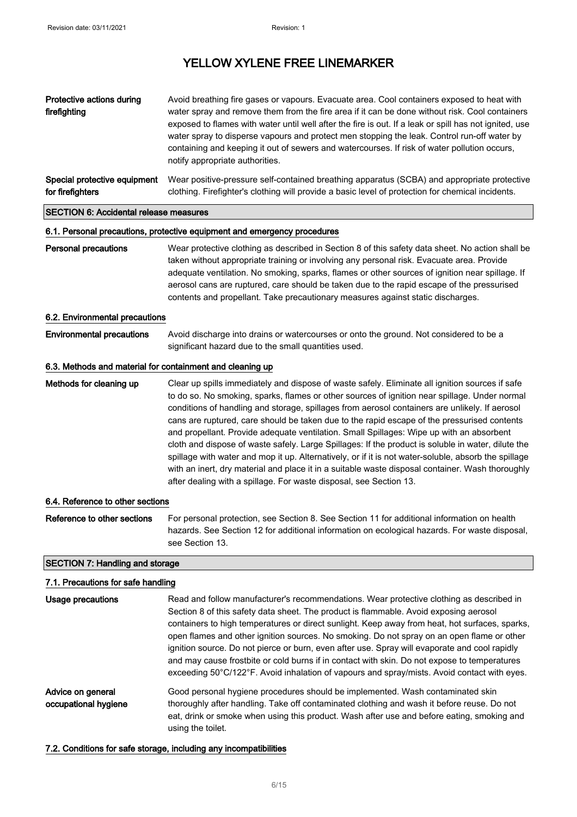| Protective actions during<br>firefighting        | Avoid breathing fire gases or vapours. Evacuate area. Cool containers exposed to heat with<br>water spray and remove them from the fire area if it can be done without risk. Cool containers<br>exposed to flames with water until well after the fire is out. If a leak or spill has not ignited, use<br>water spray to disperse vapours and protect men stopping the leak. Control run-off water by<br>containing and keeping it out of sewers and watercourses. If risk of water pollution occurs,<br>notify appropriate authorities. |  |
|--------------------------------------------------|------------------------------------------------------------------------------------------------------------------------------------------------------------------------------------------------------------------------------------------------------------------------------------------------------------------------------------------------------------------------------------------------------------------------------------------------------------------------------------------------------------------------------------------|--|
| Special protective equipment<br>for firefighters | Wear positive-pressure self-contained breathing apparatus (SCBA) and appropriate protective<br>clothing. Firefighter's clothing will provide a basic level of protection for chemical incidents.                                                                                                                                                                                                                                                                                                                                         |  |
| <b>SECTION 6: Accidental release measures</b>    |                                                                                                                                                                                                                                                                                                                                                                                                                                                                                                                                          |  |
|                                                  |                                                                                                                                                                                                                                                                                                                                                                                                                                                                                                                                          |  |

#### 6.1. Personal precautions, protective equipment and emergency procedures

### Personal precautions Wear protective clothing as described in Section 8 of this safety data sheet. No action shall be taken without appropriate training or involving any personal risk. Evacuate area. Provide adequate ventilation. No smoking, sparks, flames or other sources of ignition near spillage. If aerosol cans are ruptured, care should be taken due to the rapid escape of the pressurised contents and propellant. Take precautionary measures against static discharges.

#### 6.2. Environmental precautions

Environmental precautions Avoid discharge into drains or watercourses or onto the ground. Not considered to be a significant hazard due to the small quantities used.

#### 6.3. Methods and material for containment and cleaning up

Methods for cleaning up Clear up spills immediately and dispose of waste safely. Eliminate all ignition sources if safe to do so. No smoking, sparks, flames or other sources of ignition near spillage. Under normal conditions of handling and storage, spillages from aerosol containers are unlikely. If aerosol cans are ruptured, care should be taken due to the rapid escape of the pressurised contents and propellant. Provide adequate ventilation. Small Spillages: Wipe up with an absorbent cloth and dispose of waste safely. Large Spillages: If the product is soluble in water, dilute the spillage with water and mop it up. Alternatively, or if it is not water-soluble, absorb the spillage with an inert, dry material and place it in a suitable waste disposal container. Wash thoroughly after dealing with a spillage. For waste disposal, see Section 13.

#### 6.4. Reference to other sections

Reference to other sections For personal protection, see Section 8. See Section 11 for additional information on health hazards. See Section 12 for additional information on ecological hazards. For waste disposal, see Section 13.

#### SECTION 7: Handling and storage

#### 7.1. Precautions for safe handling

| Usage precautions                         | Read and follow manufacturer's recommendations. Wear protective clothing as described in<br>Section 8 of this safety data sheet. The product is flammable. Avoid exposing aerosol<br>containers to high temperatures or direct sunlight. Keep away from heat, hot surfaces, sparks,<br>open flames and other ignition sources. No smoking. Do not spray on an open flame or other<br>ignition source. Do not pierce or burn, even after use. Spray will evaporate and cool rapidly<br>and may cause frostbite or cold burns if in contact with skin. Do not expose to temperatures<br>exceeding 50°C/122°F. Avoid inhalation of vapours and spray/mists. Avoid contact with eyes. |
|-------------------------------------------|-----------------------------------------------------------------------------------------------------------------------------------------------------------------------------------------------------------------------------------------------------------------------------------------------------------------------------------------------------------------------------------------------------------------------------------------------------------------------------------------------------------------------------------------------------------------------------------------------------------------------------------------------------------------------------------|
| Advice on general<br>occupational hygiene | Good personal hygiene procedures should be implemented. Wash contaminated skin<br>thoroughly after handling. Take off contaminated clothing and wash it before reuse. Do not<br>eat, drink or smoke when using this product. Wash after use and before eating, smoking and<br>using the toilet.                                                                                                                                                                                                                                                                                                                                                                                   |

#### 7.2. Conditions for safe storage, including any incompatibilities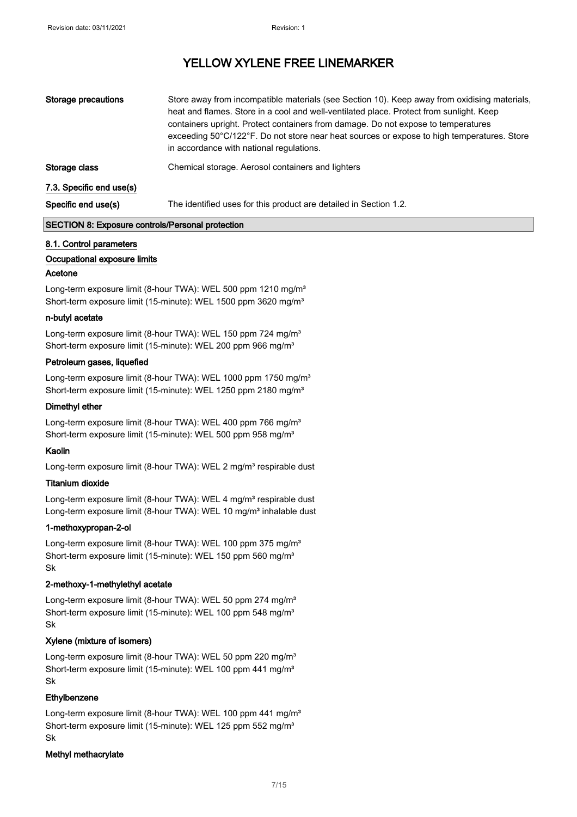| Storage precautions      | Store away from incompatible materials (see Section 10). Keep away from oxidising materials,<br>heat and flames. Store in a cool and well-ventilated place. Protect from sunlight. Keep<br>containers upright. Protect containers from damage. Do not expose to temperatures<br>exceeding 50°C/122°F. Do not store near heat sources or expose to high temperatures. Store<br>in accordance with national regulations. |
|--------------------------|------------------------------------------------------------------------------------------------------------------------------------------------------------------------------------------------------------------------------------------------------------------------------------------------------------------------------------------------------------------------------------------------------------------------|
| Storage class            | Chemical storage. Aerosol containers and lighters                                                                                                                                                                                                                                                                                                                                                                      |
| 7.3. Specific end use(s) |                                                                                                                                                                                                                                                                                                                                                                                                                        |
| Specific end use(s)      | The identified uses for this product are detailed in Section 1.2.                                                                                                                                                                                                                                                                                                                                                      |

#### SECTION 8: Exposure controls/Personal protection

#### 8.1. Control parameters

#### Occupational exposure limits

#### Acetone

Long-term exposure limit (8-hour TWA): WEL 500 ppm 1210 mg/m<sup>3</sup> Short-term exposure limit (15-minute): WEL 1500 ppm 3620 mg/m<sup>3</sup>

#### n-butyl acetate

Long-term exposure limit (8-hour TWA): WEL 150 ppm 724 mg/m<sup>3</sup> Short-term exposure limit (15-minute): WEL 200 ppm 966 mg/m<sup>3</sup>

#### Petroleum gases, liquefied

Long-term exposure limit (8-hour TWA): WEL 1000 ppm 1750 mg/m<sup>3</sup> Short-term exposure limit (15-minute): WEL 1250 ppm 2180 mg/m<sup>3</sup>

#### Dimethyl ether

Long-term exposure limit (8-hour TWA): WEL 400 ppm 766 mg/m<sup>3</sup> Short-term exposure limit (15-minute): WEL 500 ppm 958 mg/m<sup>3</sup>

#### Kaolin

Long-term exposure limit (8-hour TWA): WEL 2 mg/m<sup>3</sup> respirable dust

#### Titanium dioxide

Long-term exposure limit (8-hour TWA): WEL 4 mg/m<sup>3</sup> respirable dust Long-term exposure limit (8-hour TWA): WEL 10 mg/m<sup>3</sup> inhalable dust

#### 1-methoxypropan-2-ol

Long-term exposure limit (8-hour TWA): WEL 100 ppm 375 mg/m<sup>3</sup> Short-term exposure limit (15-minute): WEL 150 ppm 560 mg/m<sup>3</sup> Sk

#### 2-methoxy-1-methylethyl acetate

Long-term exposure limit (8-hour TWA): WEL 50 ppm 274 mg/m<sup>3</sup> Short-term exposure limit (15-minute): WEL 100 ppm 548 mg/m<sup>3</sup> Sk

#### Xylene (mixture of isomers)

Long-term exposure limit (8-hour TWA): WEL 50 ppm 220 mg/m<sup>3</sup> Short-term exposure limit (15-minute): WEL 100 ppm 441 mg/m<sup>3</sup> Sk

#### Ethylbenzene

Long-term exposure limit (8-hour TWA): WEL 100 ppm 441 mg/m<sup>3</sup> Short-term exposure limit (15-minute): WEL 125 ppm 552 mg/m<sup>3</sup> Sk

#### Methyl methacrylate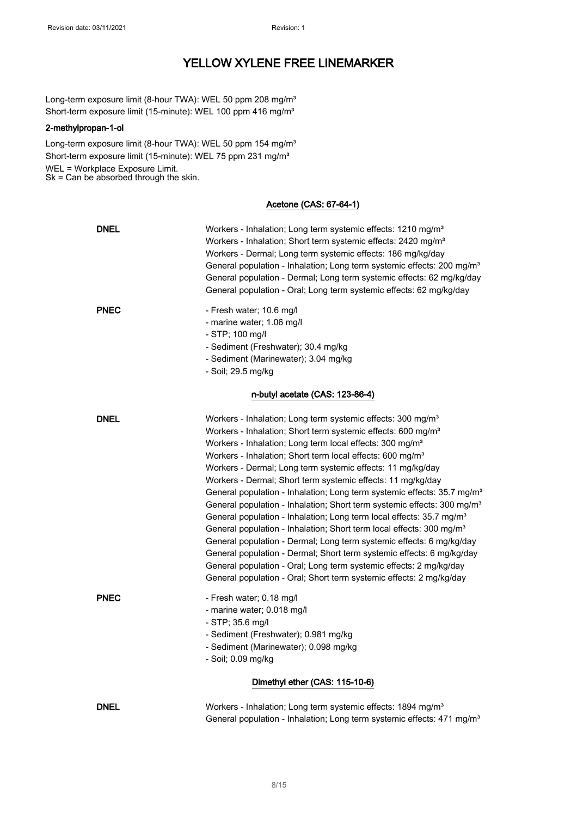Long-term exposure limit (8-hour TWA): WEL 50 ppm 208 mg/m<sup>3</sup> Short-term exposure limit (15-minute): WEL 100 ppm 416 mg/m<sup>3</sup>

#### 2-methylpropan-1-ol

Long-term exposure limit (8-hour TWA): WEL 50 ppm 154 mg/m<sup>3</sup> Short-term exposure limit (15-minute): WEL 75 ppm 231 mg/m<sup>3</sup> WEL = Workplace Exposure Limit. Sk = Can be absorbed through the skin.

#### Acetone (CAS: 67-64-1)

| <b>DNEL</b>                     | Workers - Inhalation; Long term systemic effects: 1210 mg/m <sup>3</sup><br>Workers - Inhalation; Short term systemic effects: 2420 mg/m <sup>3</sup><br>Workers - Dermal; Long term systemic effects: 186 mg/kg/day<br>General population - Inhalation; Long term systemic effects: 200 mg/m <sup>3</sup><br>General population - Dermal; Long term systemic effects: 62 mg/kg/day<br>General population - Oral; Long term systemic effects: 62 mg/kg/day                                                                                                                                                                                                                                                                                                                                                                                                                                                                                                                                                                                                                            |  |
|---------------------------------|---------------------------------------------------------------------------------------------------------------------------------------------------------------------------------------------------------------------------------------------------------------------------------------------------------------------------------------------------------------------------------------------------------------------------------------------------------------------------------------------------------------------------------------------------------------------------------------------------------------------------------------------------------------------------------------------------------------------------------------------------------------------------------------------------------------------------------------------------------------------------------------------------------------------------------------------------------------------------------------------------------------------------------------------------------------------------------------|--|
| <b>PNEC</b>                     | - Fresh water; 10.6 mg/l<br>- marine water; 1.06 mg/l<br>- STP; 100 mg/l<br>- Sediment (Freshwater); 30.4 mg/kg<br>- Sediment (Marinewater); 3.04 mg/kg<br>- Soil; 29.5 mg/kg                                                                                                                                                                                                                                                                                                                                                                                                                                                                                                                                                                                                                                                                                                                                                                                                                                                                                                         |  |
| n-butyl acetate (CAS: 123-86-4) |                                                                                                                                                                                                                                                                                                                                                                                                                                                                                                                                                                                                                                                                                                                                                                                                                                                                                                                                                                                                                                                                                       |  |
| <b>DNEL</b>                     | Workers - Inhalation; Long term systemic effects: 300 mg/m <sup>3</sup><br>Workers - Inhalation; Short term systemic effects: 600 mg/m <sup>3</sup><br>Workers - Inhalation; Long term local effects: 300 mg/m <sup>3</sup><br>Workers - Inhalation; Short term local effects: 600 mg/m <sup>3</sup><br>Workers - Dermal; Long term systemic effects: 11 mg/kg/day<br>Workers - Dermal; Short term systemic effects: 11 mg/kg/day<br>General population - Inhalation; Long term systemic effects: 35.7 mg/m <sup>3</sup><br>General population - Inhalation; Short term systemic effects: 300 mg/m <sup>3</sup><br>General population - Inhalation; Long term local effects: 35.7 mg/m <sup>3</sup><br>General population - Inhalation; Short term local effects: 300 mg/m <sup>3</sup><br>General population - Dermal; Long term systemic effects: 6 mg/kg/day<br>General population - Dermal; Short term systemic effects: 6 mg/kg/day<br>General population - Oral; Long term systemic effects: 2 mg/kg/day<br>General population - Oral; Short term systemic effects: 2 mg/kg/day |  |
| <b>PNEC</b>                     | - Fresh water; 0.18 mg/l<br>- marine water; 0.018 mg/l<br>- STP; 35.6 mg/l<br>- Sediment (Freshwater); 0.981 mg/kg<br>- Sediment (Marinewater); 0.098 mg/kg<br>- Soil; 0.09 mg/kg                                                                                                                                                                                                                                                                                                                                                                                                                                                                                                                                                                                                                                                                                                                                                                                                                                                                                                     |  |
|                                 | Dimethyl ether (CAS: 115-10-6)                                                                                                                                                                                                                                                                                                                                                                                                                                                                                                                                                                                                                                                                                                                                                                                                                                                                                                                                                                                                                                                        |  |
| <b>DNEL</b>                     | Workers - Inhalation; Long term systemic effects: 1894 mg/m <sup>3</sup><br>General population - Inhalation; Long term systemic effects: 471 mg/m <sup>3</sup>                                                                                                                                                                                                                                                                                                                                                                                                                                                                                                                                                                                                                                                                                                                                                                                                                                                                                                                        |  |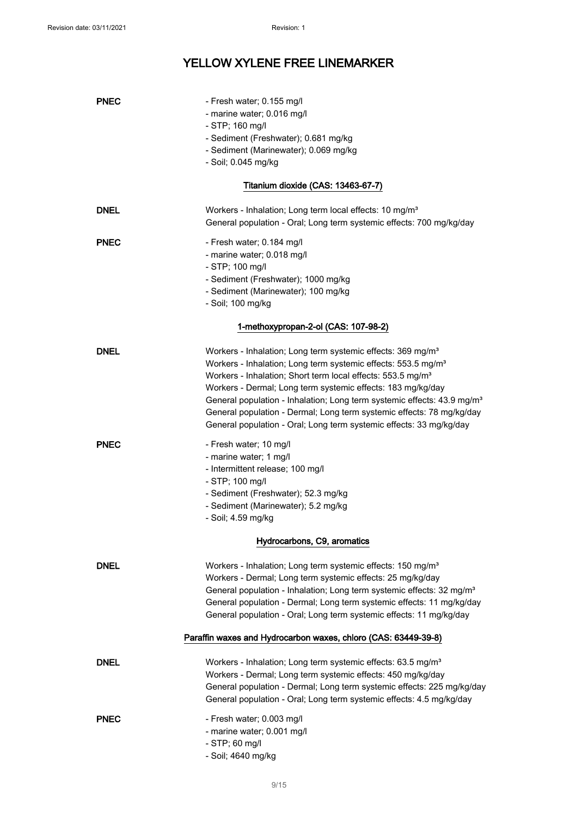| <b>PNEC</b>                          | - Fresh water; 0.155 mg/l<br>- marine water; 0.016 mg/l<br>- STP; 160 mg/l<br>- Sediment (Freshwater); 0.681 mg/kg<br>- Sediment (Marinewater); 0.069 mg/kg<br>- Soil; 0.045 mg/kg                                                                                                                                                                                                                                                                                                                                                    |  |
|--------------------------------------|---------------------------------------------------------------------------------------------------------------------------------------------------------------------------------------------------------------------------------------------------------------------------------------------------------------------------------------------------------------------------------------------------------------------------------------------------------------------------------------------------------------------------------------|--|
|                                      | Titanium dioxide (CAS: 13463-67-7)                                                                                                                                                                                                                                                                                                                                                                                                                                                                                                    |  |
| <b>DNEL</b>                          | Workers - Inhalation; Long term local effects: 10 mg/m <sup>3</sup><br>General population - Oral; Long term systemic effects: 700 mg/kg/day                                                                                                                                                                                                                                                                                                                                                                                           |  |
| <b>PNEC</b>                          | - Fresh water; 0.184 mg/l<br>- marine water; 0.018 mg/l<br>- STP; 100 mg/l<br>- Sediment (Freshwater); 1000 mg/kg<br>- Sediment (Marinewater); 100 mg/kg<br>- Soil; 100 mg/kg                                                                                                                                                                                                                                                                                                                                                         |  |
| 1-methoxypropan-2-ol (CAS: 107-98-2) |                                                                                                                                                                                                                                                                                                                                                                                                                                                                                                                                       |  |
| <b>DNEL</b>                          | Workers - Inhalation; Long term systemic effects: 369 mg/m <sup>3</sup><br>Workers - Inhalation; Long term systemic effects: 553.5 mg/m <sup>3</sup><br>Workers - Inhalation; Short term local effects: 553.5 mg/m <sup>3</sup><br>Workers - Dermal; Long term systemic effects: 183 mg/kg/day<br>General population - Inhalation; Long term systemic effects: 43.9 mg/m <sup>3</sup><br>General population - Dermal; Long term systemic effects: 78 mg/kg/day<br>General population - Oral; Long term systemic effects: 33 mg/kg/day |  |
| <b>PNEC</b>                          | - Fresh water; 10 mg/l<br>- marine water; 1 mg/l<br>- Intermittent release; 100 mg/l<br>- STP; 100 mg/l<br>- Sediment (Freshwater); 52.3 mg/kg<br>- Sediment (Marinewater); 5.2 mg/kg<br>- Soil; 4.59 mg/kg                                                                                                                                                                                                                                                                                                                           |  |
|                                      | Hydrocarbons, C9, aromatics                                                                                                                                                                                                                                                                                                                                                                                                                                                                                                           |  |
| <b>DNEL</b>                          | Workers - Inhalation; Long term systemic effects: 150 mg/m <sup>3</sup><br>Workers - Dermal; Long term systemic effects: 25 mg/kg/day<br>General population - Inhalation; Long term systemic effects: 32 mg/m <sup>3</sup><br>General population - Dermal; Long term systemic effects: 11 mg/kg/day<br>General population - Oral; Long term systemic effects: 11 mg/kg/day                                                                                                                                                            |  |
|                                      | Paraffin waxes and Hydrocarbon waxes, chloro (CAS: 63449-39-8)                                                                                                                                                                                                                                                                                                                                                                                                                                                                        |  |
| <b>DNEL</b>                          | Workers - Inhalation; Long term systemic effects: 63.5 mg/m <sup>3</sup><br>Workers - Dermal; Long term systemic effects: 450 mg/kg/day<br>General population - Dermal; Long term systemic effects: 225 mg/kg/day<br>General population - Oral; Long term systemic effects: 4.5 mg/kg/day                                                                                                                                                                                                                                             |  |
| <b>PNEC</b>                          | - Fresh water; 0.003 mg/l<br>- marine water; 0.001 mg/l<br>- STP; 60 mg/l<br>- Soil; 4640 mg/kg                                                                                                                                                                                                                                                                                                                                                                                                                                       |  |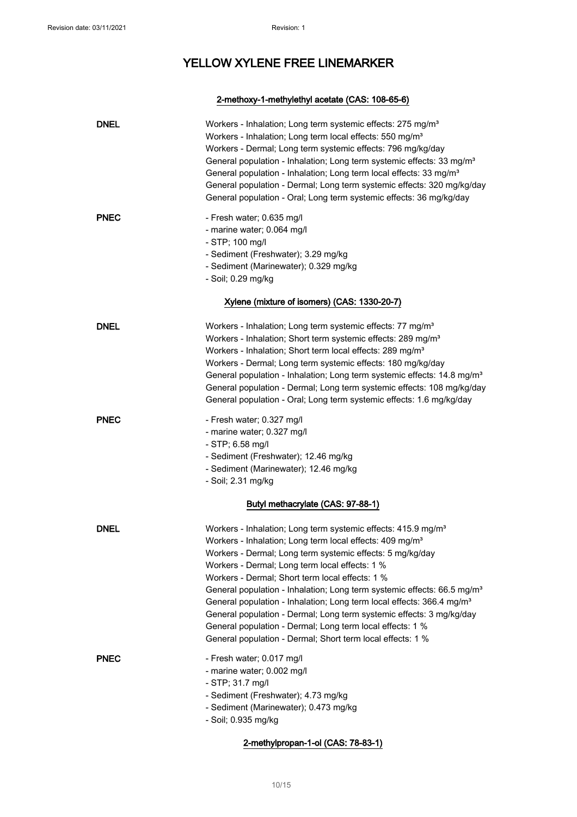### 2-methoxy-1-methylethyl acetate (CAS: 108-65-6)

| <b>DNEL</b> | Workers - Inhalation; Long term systemic effects: 275 mg/m <sup>3</sup><br>Workers - Inhalation; Long term local effects: 550 mg/m <sup>3</sup><br>Workers - Dermal; Long term systemic effects: 796 mg/kg/day<br>General population - Inhalation; Long term systemic effects: 33 mg/m <sup>3</sup><br>General population - Inhalation; Long term local effects: 33 mg/m <sup>3</sup><br>General population - Dermal; Long term systemic effects: 320 mg/kg/day<br>General population - Oral; Long term systemic effects: 36 mg/kg/day                                                                                                                                                             |
|-------------|----------------------------------------------------------------------------------------------------------------------------------------------------------------------------------------------------------------------------------------------------------------------------------------------------------------------------------------------------------------------------------------------------------------------------------------------------------------------------------------------------------------------------------------------------------------------------------------------------------------------------------------------------------------------------------------------------|
| <b>PNEC</b> | - Fresh water; 0.635 mg/l<br>- marine water; 0.064 mg/l<br>- STP; 100 mg/l<br>- Sediment (Freshwater); 3.29 mg/kg<br>- Sediment (Marinewater); 0.329 mg/kg<br>- Soil; 0.29 mg/kg                                                                                                                                                                                                                                                                                                                                                                                                                                                                                                                   |
|             | Xylene (mixture of isomers) (CAS: 1330-20-7)                                                                                                                                                                                                                                                                                                                                                                                                                                                                                                                                                                                                                                                       |
| <b>DNEL</b> | Workers - Inhalation; Long term systemic effects: 77 mg/m <sup>3</sup><br>Workers - Inhalation; Short term systemic effects: 289 mg/m <sup>3</sup><br>Workers - Inhalation; Short term local effects: 289 mg/m <sup>3</sup><br>Workers - Dermal; Long term systemic effects: 180 mg/kg/day<br>General population - Inhalation; Long term systemic effects: 14.8 mg/m <sup>3</sup><br>General population - Dermal; Long term systemic effects: 108 mg/kg/day<br>General population - Oral; Long term systemic effects: 1.6 mg/kg/day                                                                                                                                                                |
| <b>PNEC</b> | - Fresh water; 0.327 mg/l<br>- marine water; 0.327 mg/l<br>$-$ STP; 6.58 mg/l<br>- Sediment (Freshwater); 12.46 mg/kg<br>- Sediment (Marinewater); 12.46 mg/kg<br>- Soil; 2.31 mg/kg                                                                                                                                                                                                                                                                                                                                                                                                                                                                                                               |
|             | Butyl methacrylate (CAS: 97-88-1)                                                                                                                                                                                                                                                                                                                                                                                                                                                                                                                                                                                                                                                                  |
| <b>DNEL</b> | Workers - Inhalation; Long term systemic effects: 415.9 mg/m <sup>3</sup><br>Workers - Inhalation; Long term local effects: 409 mg/m <sup>3</sup><br>Workers - Dermal; Long term systemic effects: 5 mg/kg/day<br>Workers - Dermal; Long term local effects: 1 %<br>Workers - Dermal; Short term local effects: 1 %<br>General population - Inhalation; Long term systemic effects: 66.5 mg/m <sup>3</sup><br>General population - Inhalation; Long term local effects: 366.4 mg/m <sup>3</sup><br>General population - Dermal; Long term systemic effects: 3 mg/kg/day<br>General population - Dermal; Long term local effects: 1 %<br>General population - Dermal; Short term local effects: 1 % |
| <b>PNEC</b> | - Fresh water; 0.017 mg/l<br>- marine water; 0.002 mg/l<br>- STP; 31.7 mg/l<br>- Sediment (Freshwater); 4.73 mg/kg<br>- Sediment (Marinewater); 0.473 mg/kg<br>- Soil; 0.935 mg/kg                                                                                                                                                                                                                                                                                                                                                                                                                                                                                                                 |

2-methylpropan-1-ol (CAS: 78-83-1)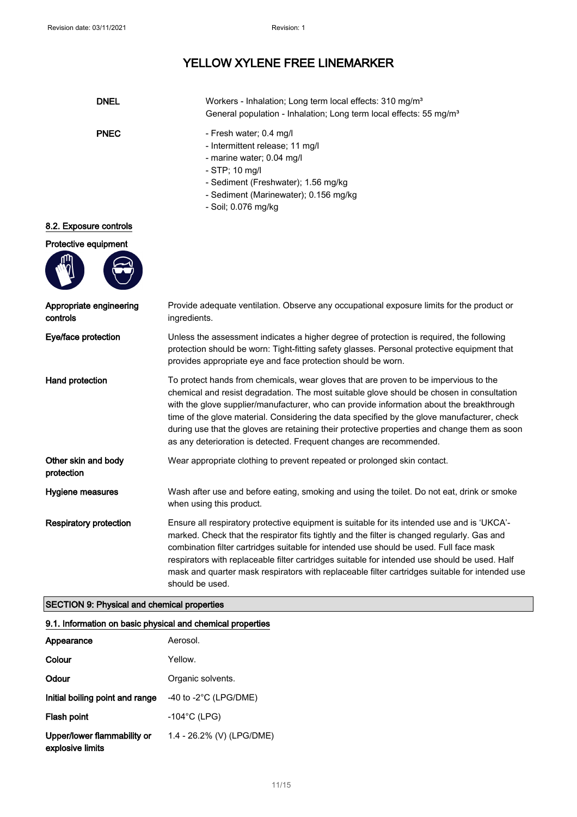| <b>DNEL</b>                         | Workers - Inhalation; Long term local effects: 310 mg/m <sup>3</sup><br>General population - Inhalation; Long term local effects: 55 mg/m <sup>3</sup>                                                                                                                                                                                                                                                                                                                                                                                              |
|-------------------------------------|-----------------------------------------------------------------------------------------------------------------------------------------------------------------------------------------------------------------------------------------------------------------------------------------------------------------------------------------------------------------------------------------------------------------------------------------------------------------------------------------------------------------------------------------------------|
| <b>PNEC</b>                         | - Fresh water; 0.4 mg/l<br>- Intermittent release; 11 mg/l<br>- marine water; 0.04 mg/l<br>- STP; 10 mg/l<br>- Sediment (Freshwater); 1.56 mg/kg<br>- Sediment (Marinewater); 0.156 mg/kg<br>- Soil; 0.076 mg/kg                                                                                                                                                                                                                                                                                                                                    |
| 8.2. Exposure controls              |                                                                                                                                                                                                                                                                                                                                                                                                                                                                                                                                                     |
| Protective equipment                |                                                                                                                                                                                                                                                                                                                                                                                                                                                                                                                                                     |
|                                     |                                                                                                                                                                                                                                                                                                                                                                                                                                                                                                                                                     |
| Appropriate engineering<br>controls | Provide adequate ventilation. Observe any occupational exposure limits for the product or<br>ingredients.                                                                                                                                                                                                                                                                                                                                                                                                                                           |
| Eye/face protection                 | Unless the assessment indicates a higher degree of protection is required, the following<br>protection should be worn: Tight-fitting safety glasses. Personal protective equipment that<br>provides appropriate eye and face protection should be worn.                                                                                                                                                                                                                                                                                             |
| Hand protection                     | To protect hands from chemicals, wear gloves that are proven to be impervious to the<br>chemical and resist degradation. The most suitable glove should be chosen in consultation<br>with the glove supplier/manufacturer, who can provide information about the breakthrough<br>time of the glove material. Considering the data specified by the glove manufacturer, check<br>during use that the gloves are retaining their protective properties and change them as soon<br>as any deterioration is detected. Frequent changes are recommended. |
| Other skin and body<br>protection   | Wear appropriate clothing to prevent repeated or prolonged skin contact.                                                                                                                                                                                                                                                                                                                                                                                                                                                                            |
| Hygiene measures                    | Wash after use and before eating, smoking and using the toilet. Do not eat, drink or smoke<br>when using this product.                                                                                                                                                                                                                                                                                                                                                                                                                              |
| <b>Respiratory protection</b>       | Ensure all respiratory protective equipment is suitable for its intended use and is 'UKCA'-<br>marked. Check that the respirator fits tightly and the filter is changed regularly. Gas and<br>combination filter cartridges suitable for intended use should be used. Full face mask<br>respirators with replaceable filter cartridges suitable for intended use should be used. Half<br>mask and quarter mask respirators with replaceable filter cartridges suitable for intended use<br>should be used.                                          |

### SECTION 9: Physical and chemical properties

### 9.1. Information on basic physical and chemical properties

| Appearance                                      | Aerosol.                         |
|-------------------------------------------------|----------------------------------|
| Colour                                          | Yellow.                          |
| Odour                                           | Organic solvents.                |
| Initial boiling point and range                 | -40 to -2 $^{\circ}$ C (LPG/DME) |
| Flash point                                     | $-104^{\circ}$ C (LPG)           |
| Upper/lower flammability or<br>explosive limits | 1.4 - 26.2% (V) (LPG/DME)        |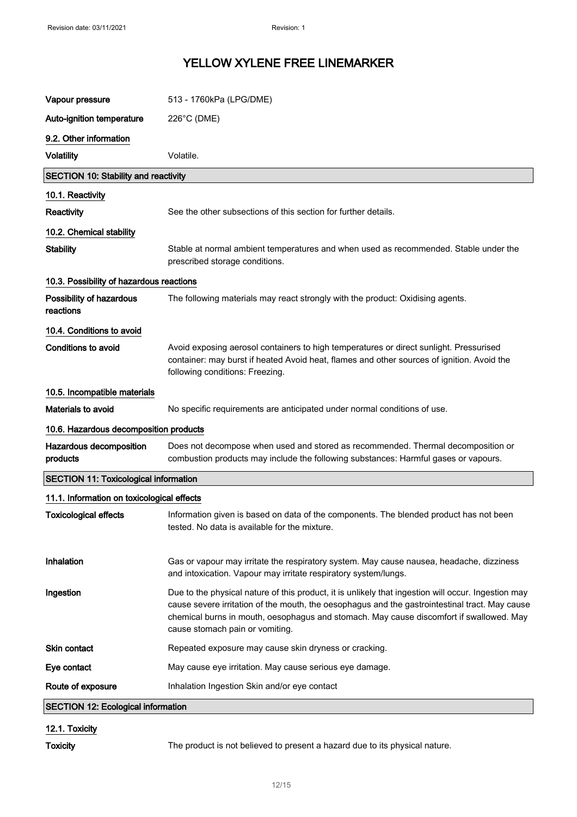| Vapour pressure                              | 513 - 1760kPa (LPG/DME)                                                                                                                                                                                                                                                                                                             |  |
|----------------------------------------------|-------------------------------------------------------------------------------------------------------------------------------------------------------------------------------------------------------------------------------------------------------------------------------------------------------------------------------------|--|
| Auto-ignition temperature                    | 226°C (DME)                                                                                                                                                                                                                                                                                                                         |  |
| 9.2. Other information                       |                                                                                                                                                                                                                                                                                                                                     |  |
| <b>Volatility</b>                            | Volatile.                                                                                                                                                                                                                                                                                                                           |  |
| <b>SECTION 10: Stability and reactivity</b>  |                                                                                                                                                                                                                                                                                                                                     |  |
| 10.1. Reactivity                             |                                                                                                                                                                                                                                                                                                                                     |  |
| Reactivity                                   | See the other subsections of this section for further details.                                                                                                                                                                                                                                                                      |  |
| 10.2. Chemical stability                     |                                                                                                                                                                                                                                                                                                                                     |  |
| <b>Stability</b>                             | Stable at normal ambient temperatures and when used as recommended. Stable under the<br>prescribed storage conditions.                                                                                                                                                                                                              |  |
| 10.3. Possibility of hazardous reactions     |                                                                                                                                                                                                                                                                                                                                     |  |
| Possibility of hazardous<br>reactions        | The following materials may react strongly with the product: Oxidising agents.                                                                                                                                                                                                                                                      |  |
| 10.4. Conditions to avoid                    |                                                                                                                                                                                                                                                                                                                                     |  |
| <b>Conditions to avoid</b>                   | Avoid exposing aerosol containers to high temperatures or direct sunlight. Pressurised<br>container: may burst if heated Avoid heat, flames and other sources of ignition. Avoid the<br>following conditions: Freezing.                                                                                                             |  |
| 10.5. Incompatible materials                 |                                                                                                                                                                                                                                                                                                                                     |  |
| Materials to avoid                           | No specific requirements are anticipated under normal conditions of use.                                                                                                                                                                                                                                                            |  |
| 10.6. Hazardous decomposition products       |                                                                                                                                                                                                                                                                                                                                     |  |
| Hazardous decomposition<br>products          | Does not decompose when used and stored as recommended. Thermal decomposition or<br>combustion products may include the following substances: Harmful gases or vapours.                                                                                                                                                             |  |
| <b>SECTION 11: Toxicological information</b> |                                                                                                                                                                                                                                                                                                                                     |  |
| 11.1. Information on toxicological effects   |                                                                                                                                                                                                                                                                                                                                     |  |
| <b>Toxicological effects</b>                 | Information given is based on data of the components. The blended product has not been<br>tested. No data is available for the mixture.                                                                                                                                                                                             |  |
| Inhalation                                   | Gas or vapour may irritate the respiratory system. May cause nausea, headache, dizziness<br>and intoxication. Vapour may irritate respiratory system/lungs.                                                                                                                                                                         |  |
| Ingestion                                    | Due to the physical nature of this product, it is unlikely that ingestion will occur. Ingestion may<br>cause severe irritation of the mouth, the oesophagus and the gastrointestinal tract. May cause<br>chemical burns in mouth, oesophagus and stomach. May cause discomfort if swallowed. May<br>cause stomach pain or vomiting. |  |
| <b>Skin contact</b>                          | Repeated exposure may cause skin dryness or cracking.                                                                                                                                                                                                                                                                               |  |
| Eye contact                                  | May cause eye irritation. May cause serious eye damage.                                                                                                                                                                                                                                                                             |  |
| Route of exposure                            | Inhalation Ingestion Skin and/or eye contact                                                                                                                                                                                                                                                                                        |  |
| <b>SECTION 12: Ecological information</b>    |                                                                                                                                                                                                                                                                                                                                     |  |
| 12.1. Toxicity                               |                                                                                                                                                                                                                                                                                                                                     |  |

Toxicity The product is not believed to present a hazard due to its physical nature.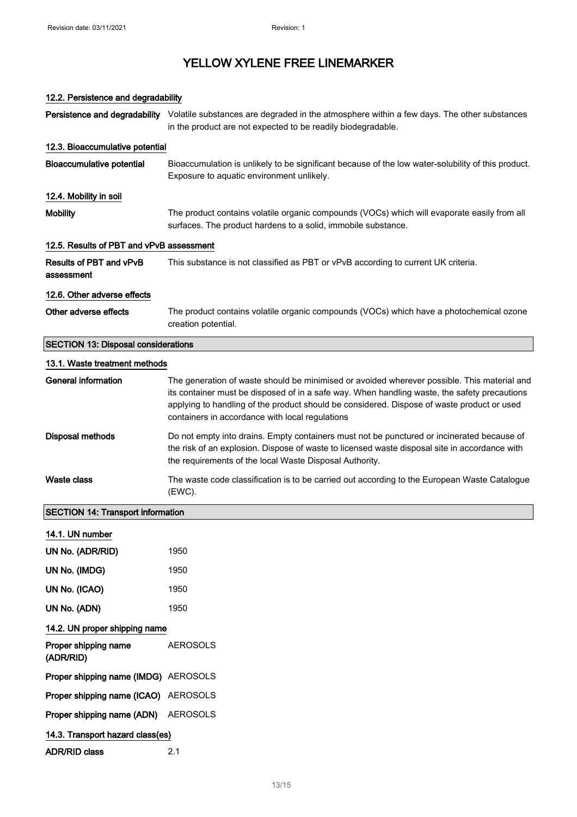## 12.2. Persistence and degradability Persistence and degradability Volatile substances are degraded in the atmosphere within a few days. The other substances in the product are not expected to be readily biodegradable. 12.3. Bioaccumulative potential Bioaccumulative potential Bioaccumulation is unlikely to be significant because of the low water-solubility of this product. Exposure to aquatic environment unlikely. 12.4. Mobility in soil Mobility The product contains volatile organic compounds (VOCs) which will evaporate easily from all surfaces. The product hardens to a solid, immobile substance. 12.5. Results of PBT and vPvB assessment Results of PBT and vPvB assessment This substance is not classified as PBT or vPvB according to current UK criteria. 12.6. Other adverse effects Other adverse effects The product contains volatile organic compounds (VOCs) which have a photochemical ozone creation potential. SECTION 13: Disposal considerations 13.1. Waste treatment methods General information The generation of waste should be minimised or avoided wherever possible. This material and its container must be disposed of in a safe way. When handling waste, the safety precautions applying to handling of the product should be considered. Dispose of waste product or used containers in accordance with local regulations Disposal methods Do not empty into drains. Empty containers must not be punctured or incinerated because of the risk of an explosion. Dispose of waste to licensed waste disposal site in accordance with the requirements of the local Waste Disposal Authority. Waste class The waste code classification is to be carried out according to the European Waste Catalogue (EWC). SECTION 14: Transport information 14.1. UN number UN No. (ADR/RID) 1950 UN No. (IMDG) 1950 UN No. (ICAO) 1950 UN No. (ADN) 1950 14.2. UN proper shipping name Proper shipping name (ADR/RID) AEROSOLS Proper shipping name (IMDG) AEROSOLS Proper shipping name (ICAO) AEROSOLS Proper shipping name (ADN) AEROSOLS 14.3. Transport hazard class(es) ADR/RID class 2.1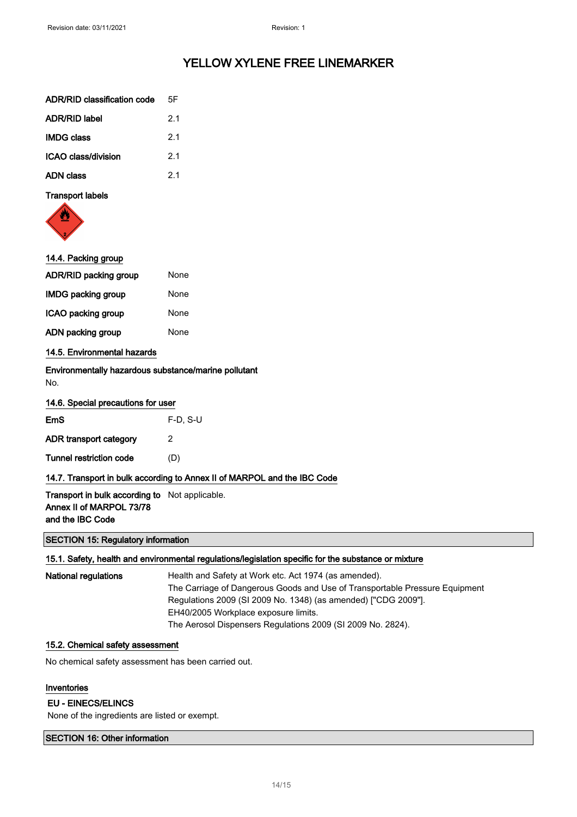| ADR/RID classification code | 5F             |
|-----------------------------|----------------|
| <b>ADR/RID label</b>        | 21             |
| <b>IMDG class</b>           | 21             |
| ICAO class/division         | 2 <sub>1</sub> |
| ADN class                   | 2 <sub>1</sub> |
|                             |                |

#### Transport labels



| 14.4. Packing group                                         |                                                                          |
|-------------------------------------------------------------|--------------------------------------------------------------------------|
| ADR/RID packing group                                       | None                                                                     |
| <b>IMDG packing group</b>                                   | None                                                                     |
| ICAO packing group                                          | None                                                                     |
| ADN packing group                                           | None                                                                     |
| 14.5. Environmental hazards                                 |                                                                          |
| Environmentally hazardous substance/marine pollutant<br>No. |                                                                          |
| 14.6. Special precautions for user                          |                                                                          |
| <b>EmS</b>                                                  | $F-D$ , S-U                                                              |
| ADR transport category                                      | 2                                                                        |
| <b>Tunnel restriction code</b>                              | (D)                                                                      |
|                                                             | 14.7. Transport in bulk according to Annex II of MARPOL and the IBC Code |
| <b>Transport in bulk according to</b> Not applicable.       |                                                                          |

### Annex II of MARPOL 73/78 and the IBC Code

#### SECTION 15: Regulatory information

#### 15.1. Safety, health and environmental regulations/legislation specific for the substance or mixture

| National regulations | Health and Safety at Work etc. Act 1974 (as amended).                       |
|----------------------|-----------------------------------------------------------------------------|
|                      | The Carriage of Dangerous Goods and Use of Transportable Pressure Equipment |
|                      | Regulations 2009 (SI 2009 No. 1348) (as amended) ["CDG 2009"].              |
|                      | EH40/2005 Workplace exposure limits.                                        |
|                      | The Aerosol Dispensers Regulations 2009 (SI 2009 No. 2824).                 |

### 15.2. Chemical safety assessment

No chemical safety assessment has been carried out.

#### Inventories

#### EU - EINECS/ELINCS

None of the ingredients are listed or exempt.

#### SECTION 16: Other information